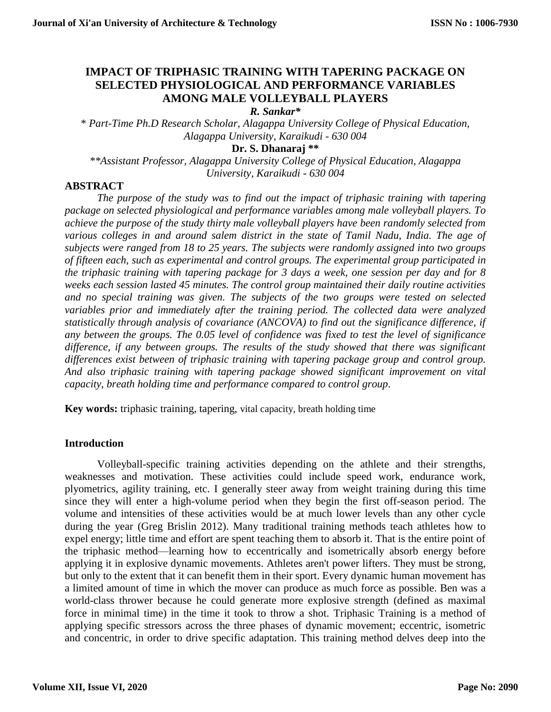# **IMPACT OF TRIPHASIC TRAINING WITH TAPERING PACKAGE ON SELECTED PHYSIOLOGICAL AND PERFORMANCE VARIABLES AMONG MALE VOLLEYBALL PLAYERS**

*R. Sankar\**

\* *Part-Time Ph.D Research Scholar, Alagappa University College of Physical Education, Alagappa University, Karaikudi - 630 004*

#### **Dr. S. Dhanaraj \*\***

*\*\*Assistant Professor, Alagappa University College of Physical Education, Alagappa University, Karaikudi - 630 004*

## **ABSTRACT**

*The purpose of the study was to find out the impact of triphasic training with tapering package on selected physiological and performance variables among male volleyball players. To achieve the purpose of the study thirty male volleyball players have been randomly selected from various colleges in and around salem district in the state of Tamil Nadu, India. The age of subjects were ranged from 18 to 25 years. The subjects were randomly assigned into two groups of fifteen each, such as experimental and control groups. The experimental group participated in the triphasic training with tapering package for 3 days a week, one session per day and for 8 weeks each session lasted 45 minutes. The control group maintained their daily routine activities*  and no special training was given. The subjects of the two groups were tested on selected *variables prior and immediately after the training period. The collected data were analyzed statistically through analysis of covariance (ANCOVA) to find out the significance difference, if any between the groups. The 0.05 level of confidence was fixed to test the level of significance difference, if any between groups. The results of the study showed that there was significant differences exist between of triphasic training with tapering package group and control group. And also triphasic training with tapering package showed significant improvement on vital capacity, breath holding time and performance compared to control group*.

**Key words:** triphasic training, tapering, vital capacity, breath holding time

## **Introduction**

Volleyball-specific training activities depending on the athlete and their strengths, weaknesses and motivation. These activities could include speed work, endurance work, plyometrics, agility training, etc. I generally steer away from weight training during this time since they will enter a high-volume period when they begin the first off-season period. The volume and intensities of these activities would be at much lower levels than any other cycle during the year (Greg Brislin 2012). Many traditional training methods teach athletes how to expel energy; little time and effort are spent teaching them to absorb it. That is the entire point of the triphasic method—learning how to eccentrically and isometrically absorb energy before applying it in explosive dynamic movements. Athletes aren't power lifters. They must be strong, but only to the extent that it can benefit them in their sport. Every dynamic human movement has a limited amount of time in which the mover can produce as much force as possible. Ben was a world-class thrower because he could generate more explosive strength (defined as maximal force in minimal time) in the time it took to throw a shot. Triphasic Training is a method of applying specific stressors across the three phases of dynamic movement; eccentric, isometric and concentric, in order to drive specific adaptation. This training method delves deep into the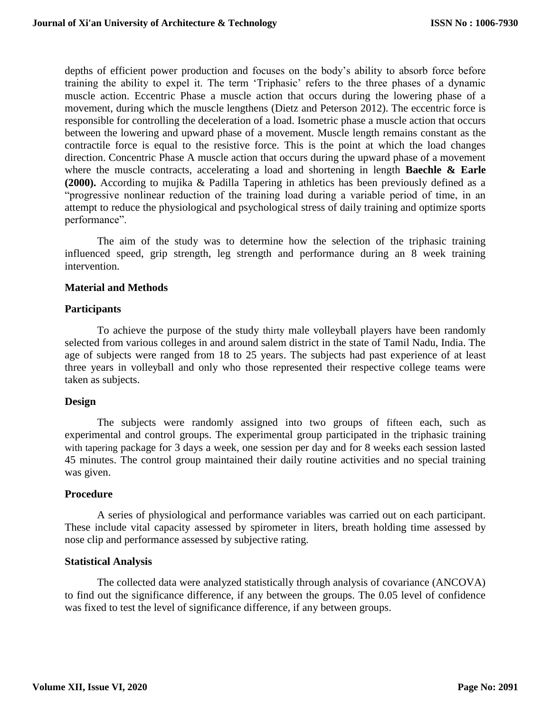depths of efficient power production and focuses on the body's ability to absorb force before training the ability to expel it. The term 'Triphasic' refers to the three phases of a dynamic muscle action. Eccentric Phase a muscle action that occurs during the lowering phase of a movement, during which the muscle lengthens (Dietz and Peterson 2012). The eccentric force is responsible for controlling the deceleration of a load. Isometric phase a muscle action that occurs between the lowering and upward phase of a movement. Muscle length remains constant as the contractile force is equal to the resistive force. This is the point at which the load changes direction. Concentric Phase A muscle action that occurs during the upward phase of a movement where the muscle contracts, accelerating a load and shortening in length **Baechle & Earle (2000).** According to mujika & Padilla Tapering in athletics has been previously defined as a "progressive nonlinear reduction of the training load during a variable period of time, in an attempt to reduce the physiological and psychological stress of daily training and optimize sports performance".

The aim of the study was to determine how the selection of the triphasic training influenced speed, grip strength, leg strength and performance during an 8 week training intervention.

#### **Material and Methods**

#### **Participants**

To achieve the purpose of the study thirty male volleyball players have been randomly selected from various colleges in and around salem district in the state of Tamil Nadu, India. The age of subjects were ranged from 18 to 25 years. The subjects had past experience of at least three years in volleyball and only who those represented their respective college teams were taken as subjects.

## **Design**

The subjects were randomly assigned into two groups of fifteen each, such as experimental and control groups. The experimental group participated in the triphasic training with tapering package for 3 days a week, one session per day and for 8 weeks each session lasted 45 minutes. The control group maintained their daily routine activities and no special training was given.

## **Procedure**

A series of physiological and performance variables was carried out on each participant. These include vital capacity assessed by spirometer in liters, breath holding time assessed by nose clip and performance assessed by subjective rating.

## **Statistical Analysis**

The collected data were analyzed statistically through analysis of covariance (ANCOVA) to find out the significance difference, if any between the groups. The 0.05 level of confidence was fixed to test the level of significance difference, if any between groups.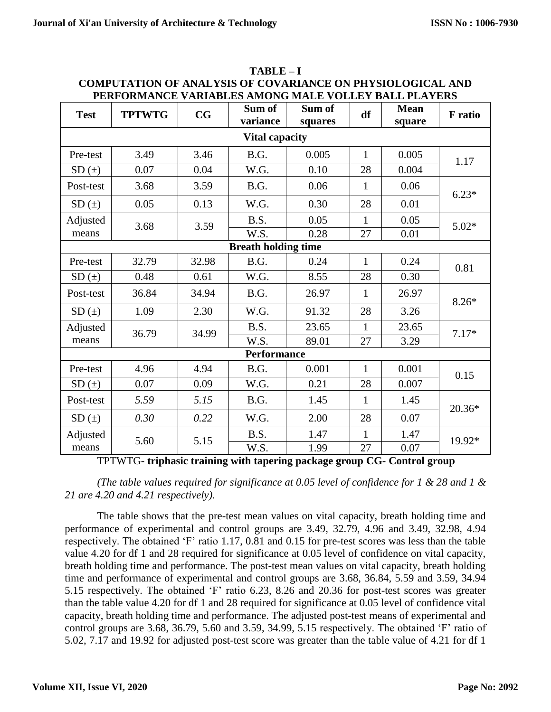| <b>Test</b>                | <b>TPTWTG</b>                                                                    | $\mathbf{C}\mathbf{G}$ | Sum of<br>variance | Sum of<br>squares | df           | <b>Mean</b><br>square | <b>F</b> ratio |
|----------------------------|----------------------------------------------------------------------------------|------------------------|--------------------|-------------------|--------------|-----------------------|----------------|
| <b>Vital capacity</b>      |                                                                                  |                        |                    |                   |              |                       |                |
| Pre-test                   | 3.49                                                                             | 3.46                   | B.G.               | 0.005             | $\mathbf{1}$ | 0.005                 | 1.17           |
| $SD(+)$                    | 0.07                                                                             | 0.04                   | W.G.               | 0.10              | 28           | 0.004                 |                |
| Post-test                  | 3.68                                                                             | 3.59                   | B.G.               | 0.06              | $\mathbf{1}$ | 0.06                  | $6.23*$        |
| SD(±)                      | 0.05                                                                             | 0.13                   | W.G.               | 0.30              | 28           | 0.01                  |                |
| Adjusted                   | 3.68                                                                             | 3.59                   | B.S.               | 0.05              | $\mathbf{1}$ | 0.05                  | $5.02*$        |
| means                      |                                                                                  |                        | W.S.               | 0.28              | 27           | 0.01                  |                |
| <b>Breath holding time</b> |                                                                                  |                        |                    |                   |              |                       |                |
| Pre-test                   | 32.79                                                                            | 32.98                  | B.G.               | 0.24              | $\mathbf{1}$ | 0.24                  | 0.81           |
| $SD(+)$                    | 0.48                                                                             | 0.61                   | W.G.               | 8.55              | 28           | 0.30                  |                |
| Post-test                  | 36.84                                                                            | 34.94                  | B.G.               | 26.97             | $\mathbf{1}$ | 26.97                 | $8.26*$        |
| SD(±)                      | 1.09                                                                             | 2.30                   | W.G.               | 91.32             | 28           | 3.26                  |                |
| Adjusted                   | 36.79                                                                            | 34.99                  | B.S.               | 23.65             | $\mathbf{1}$ | 23.65                 | $7.17*$        |
| means                      |                                                                                  |                        | W.S.               | 89.01             | 27           | 3.29                  |                |
| <b>Performance</b>         |                                                                                  |                        |                    |                   |              |                       |                |
| Pre-test                   | 4.96                                                                             | 4.94                   | B.G.               | 0.001             | $\mathbf{1}$ | 0.001                 | 0.15           |
| $SD(+)$                    | 0.07                                                                             | 0.09                   | W.G.               | 0.21              | 28           | 0.007                 |                |
| Post-test                  | 5.59                                                                             | 5.15                   | B.G.               | 1.45              | $\mathbf{1}$ | 1.45                  | 20.36*         |
| $SD(+)$                    | 0.30                                                                             | 0.22                   | W.G.               | 2.00              | 28           | 0.07                  |                |
| Adjusted                   | 5.60<br>TPTWTG, triphasic training with tapering package group CC, Control group | 5.15                   | B.S.               | 1.47              | 1            | 1.47                  | 19.92*         |
| means                      |                                                                                  |                        | W.S.               | 1.99              | 27           | 0.07                  |                |

**TABLE – I COMPUTATION OF ANALYSIS OF COVARIANCE ON PHYSIOLOGICAL AND PERFORMANCE VARIABLES AMONG MALE VOLLEY BALL PLAYERS** 

TPTWTG- **triphasic training with tapering package group CG- Control group**

*(The table values required for significance at 0.05 level of confidence for 1 & 28 and 1 & 21 are 4.20 and 4.21 respectively).*

The table shows that the pre-test mean values on vital capacity, breath holding time and performance of experimental and control groups are 3.49, 32.79, 4.96 and 3.49, 32.98, 4.94 respectively. The obtained 'F' ratio 1.17, 0.81 and 0.15 for pre-test scores was less than the table value 4.20 for df 1 and 28 required for significance at 0.05 level of confidence on vital capacity, breath holding time and performance. The post-test mean values on vital capacity, breath holding time and performance of experimental and control groups are 3.68, 36.84, 5.59 and 3.59, 34.94 5.15 respectively. The obtained 'F' ratio 6.23, 8.26 and 20.36 for post-test scores was greater than the table value 4.20 for df 1 and 28 required for significance at 0.05 level of confidence vital capacity, breath holding time and performance. The adjusted post-test means of experimental and control groups are 3.68, 36.79, 5.60 and 3.59, 34.99, 5.15 respectively. The obtained 'F' ratio of 5.02, 7.17 and 19.92 for adjusted post-test score was greater than the table value of 4.21 for df 1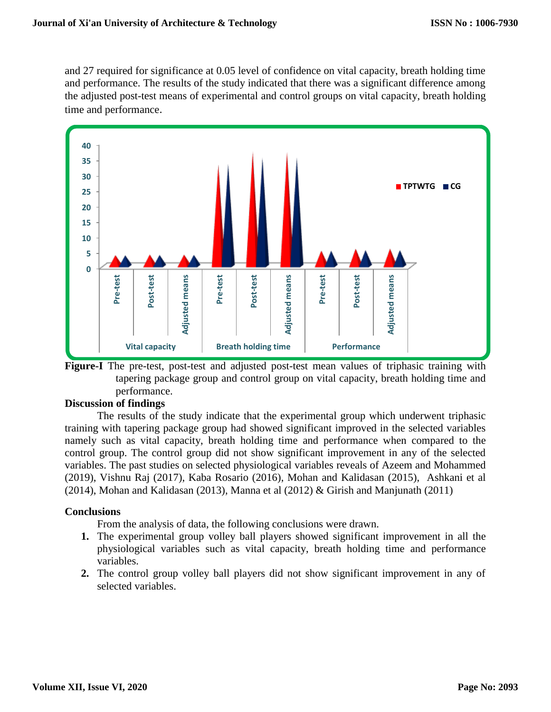and 27 required for significance at 0.05 level of confidence on vital capacity, breath holding time and performance. The results of the study indicated that there was a significant difference among the adjusted post-test means of experimental and control groups on vital capacity, breath holding time and performance.



**Figure-I** The pre-test, post-test and adjusted post-test mean values of triphasic training with tapering package group and control group on vital capacity, breath holding time and performance.

# **Discussion of findings**

The results of the study indicate that the experimental group which underwent triphasic training with tapering package group had showed significant improved in the selected variables namely such as vital capacity, breath holding time and performance when compared to the control group. The control group did not show significant improvement in any of the selected variables. The past studies on selected physiological variables reveals of Azeem and Mohammed (2019), Vishnu Raj (2017), Kaba Rosario (2016), Mohan and Kalidasan (2015), Ashkani et al (2014), Mohan and Kalidasan (2013), Manna et al (2012) & Girish and Manjunath (2011)

#### **Conclusions**

From the analysis of data, the following conclusions were drawn.

- **1.** The experimental group volley ball players showed significant improvement in all the physiological variables such as vital capacity, breath holding time and performance variables.
- **2.** The control group volley ball players did not show significant improvement in any of selected variables.